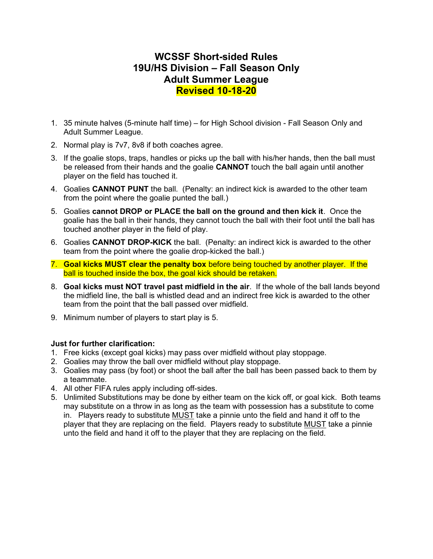## WCSSF Short-sided Rules 19U/HS Division – Fall Season Only Adult Summer League Revised 10-18-20

- 1. 35 minute halves (5-minute half time) for High School division Fall Season Only and Adult Summer League.
- 2. Normal play is 7v7, 8v8 if both coaches agree.
- 3. If the goalie stops, traps, handles or picks up the ball with his/her hands, then the ball must be released from their hands and the goalie **CANNOT** touch the ball again until another player on the field has touched it.
- 4. Goalies CANNOT PUNT the ball. (Penalty: an indirect kick is awarded to the other team from the point where the goalie punted the ball.)
- 5. Goalies cannot DROP or PLACE the ball on the ground and then kick it. Once the goalie has the ball in their hands, they cannot touch the ball with their foot until the ball has touched another player in the field of play.
- 6. Goalies CANNOT DROP-KICK the ball. (Penalty: an indirect kick is awarded to the other team from the point where the goalie drop-kicked the ball.)
- 7. Goal kicks MUST clear the penalty box before being touched by another player. If the ball is touched inside the box, the goal kick should be retaken.
- 8. Goal kicks must NOT travel past midfield in the air. If the whole of the ball lands beyond the midfield line, the ball is whistled dead and an indirect free kick is awarded to the other team from the point that the ball passed over midfield.
- 9. Minimum number of players to start play is 5.

## Just for further clarification:

- 1. Free kicks (except goal kicks) may pass over midfield without play stoppage.
- 2. Goalies may throw the ball over midfield without play stoppage.
- 3. Goalies may pass (by foot) or shoot the ball after the ball has been passed back to them by a teammate.
- 4. All other FIFA rules apply including off-sides.
- 5. Unlimited Substitutions may be done by either team on the kick off, or goal kick. Both teams may substitute on a throw in as long as the team with possession has a substitute to come in. Players ready to substitute MUST take a pinnie unto the field and hand it off to the player that they are replacing on the field. Players ready to substitute MUST take a pinnie unto the field and hand it off to the player that they are replacing on the field.